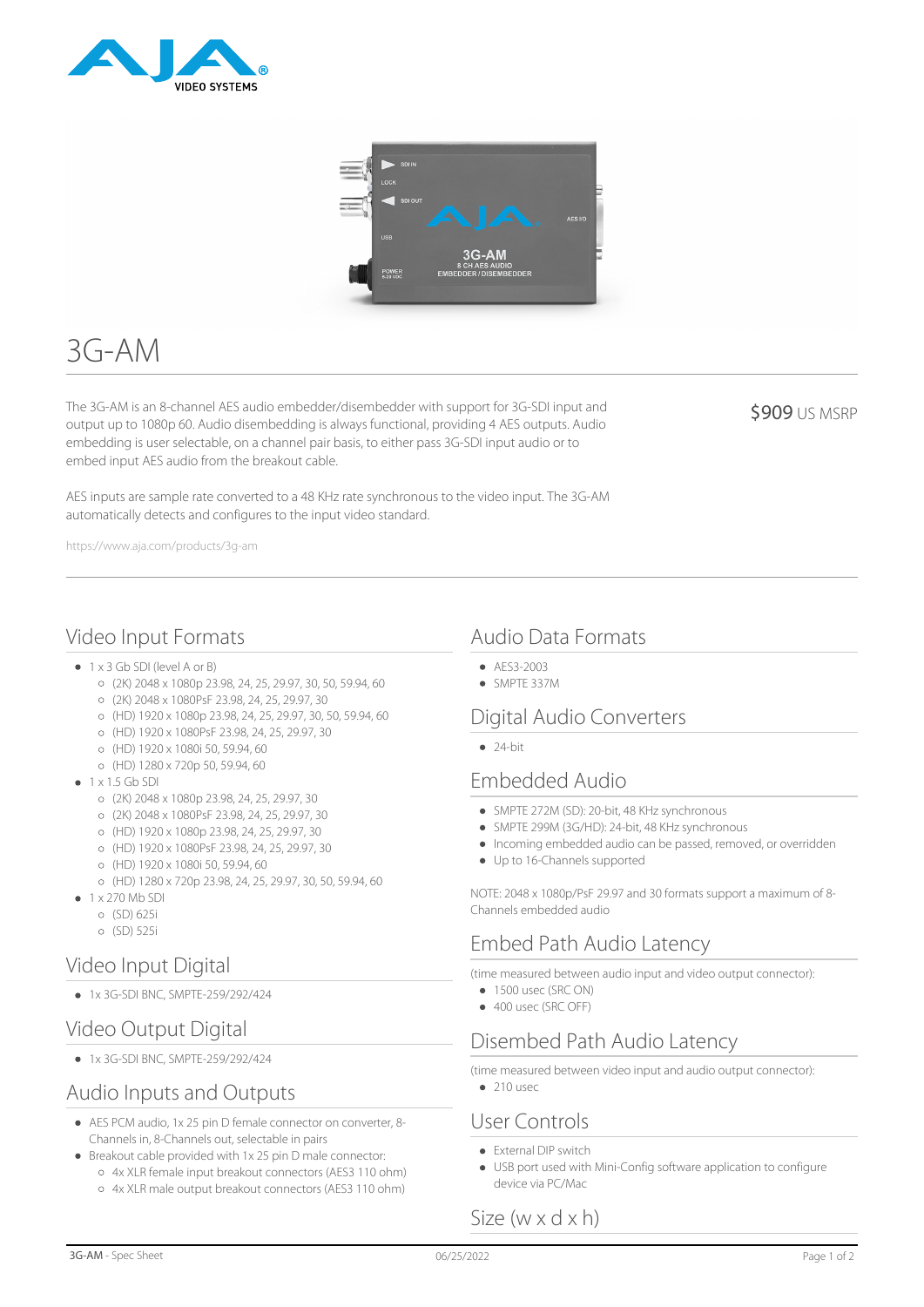



# 3G-AM

The 3G-AM is an 8-channel AES audio embedder/disembedder with support for 3G-SDI input and output up to 1080p 60. Audio disembedding is always functional, providing 4 AES outputs. Audio embedding is user selectable, on a channel pair basis, to either pass 3G-SDI input audio or to embed input AES audio from the breakout cable.

**\$909 US MSRP** 

AES inputs are sample rate converted to a 48 KHz rate synchronous to the video input. The 3G-AM automatically detects and configures to the input video standard.

https://www.aja.com/products/3g-am

## Video Input Formats

- 1 x 3 Gb SDI (level A or B)
	- (2K) 2048 x 1080p 23.98, 24, 25, 29.97, 30, 50, 59.94, 60
	- (2K) 2048 x 1080PsF 23.98, 24, 25, 29.97, 30
	- (HD) 1920 x 1080p 23.98, 24, 25, 29.97, 30, 50, 59.94, 60
	- (HD) 1920 x 1080PsF 23.98, 24, 25, 29.97, 30
	- (HD) 1920 x 1080i 50, 59.94, 60
	- (HD) 1280 x 720p 50, 59.94, 60
- $\bullet$  1 x 1.5 Gb SDI
	- (2K) 2048 x 1080p 23.98, 24, 25, 29.97, 30
	- (2K) 2048 x 1080PsF 23.98, 24, 25, 29.97, 30
	- (HD) 1920 x 1080p 23.98, 24, 25, 29.97, 30
	- (HD) 1920 x 1080PsF 23.98, 24, 25, 29.97, 30
	- (HD) 1920 x 1080i 50, 59.94, 60
	- (HD) 1280 x 720p 23.98, 24, 25, 29.97, 30, 50, 59.94, 60
- 1 x 270 Mb SDI
- (SD) 625i
	- (SD) 525i

## Video Input Digital

1x 3G-SDI BNC, SMPTE-259/292/424

## Video Output Digital

1x 3G-SDI BNC, SMPTE-259/292/424

## Audio Inputs and Outputs

- AES PCM audio, 1x 25 pin D female connector on converter, 8- Channels in, 8-Channels out, selectable in pairs
- Breakout cable provided with 1x 25 pin D male connector: 4x XLR female input breakout connectors (AES3 110 ohm) 4x XLR male output breakout connectors (AES3 110 ohm)

# Audio Data Formats

- AES3-2003
- SMPTE 337M

## Digital Audio Converters

 $24-hit$ 

## Embedded Audio

- SMPTE 272M (SD): 20-bit, 48 KHz synchronous
- SMPTE 299M (3G/HD): 24-bit, 48 KHz synchronous
- $\bullet$  Incoming embedded audio can be passed, removed, or overridden
- Up to 16-Channels supported

NOTE: 2048 x 1080p/PsF 29.97 and 30 formats support a maximum of 8- Channels embedded audio

# Embed Path Audio Latency

(time measured between audio input and video output connector):

- 1500 usec (SRC ON)
- 400 usec (SRC OFF)

# Disembed Path Audio Latency

(time measured between video input and audio output connector):

 $210$  usec

## User Controls

- **•** External DIP switch
- USB port used with Mini-Config software application to configure device via PC/Mac

# Size (w x d x h)